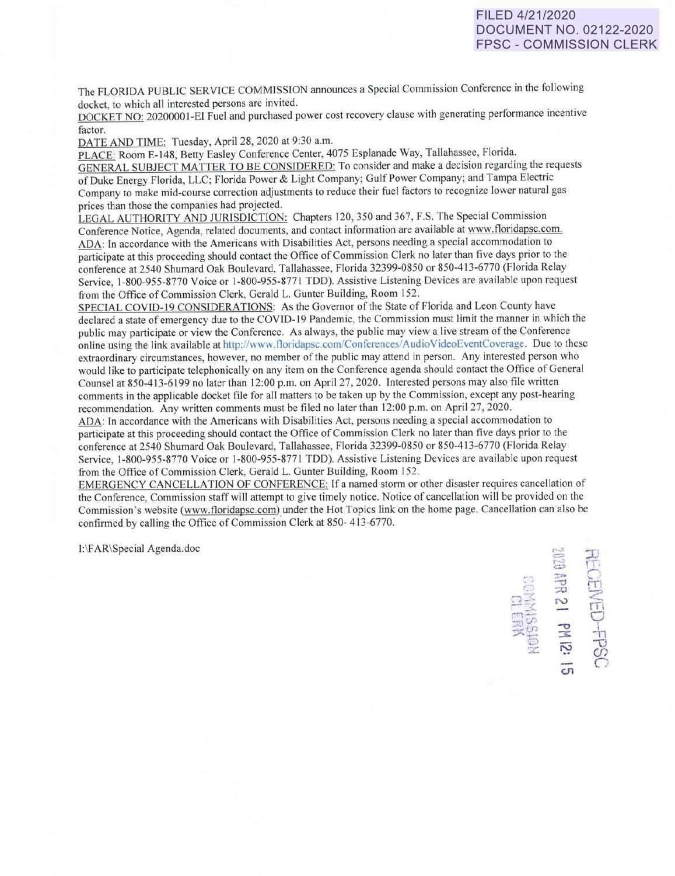## FILED 4/21/2020 DOCUMENT NO. 02122-2020 FPSC - COMMISSION CLERK

 $\mathbb F$ 

 $\mathbb{H}$  $\widetilde{\widehat{\pi}}$ 9 -h  $\overline{\mathbf{C}}$ *(f)*   $\subset$ 

 $\mathsf{c}\mathsf{n}$ 

The FLORIDA PUBLIC SERVICE COMMISSION announces a Special Commission Conference in the following docket, to which all interested persons are invited.

DOCKET NO: 2020000 I-El Fuel and purchased power cost recovery clause with generating performance incentive factor.

DATE AND TIME: Tuesday, April 28, 2020 at 9:30 a.m.

PLACE: Room E-148, Betty Easley Conference Center, 4075 Esplanade Way, Tallahassee, Florida. GENERAL SUBJECT MATTER TO BE CONSIDERED: To consider and make a decision regarding the requests of Duke Energy Florida, LLC; Florida Power & Light Company; Gui f Power Company; and Tampa Electric Company to make mid-course correction adjustments to reduce their fuel factors to recognize lower natural gas prices than those the companies had projected.

LEGAL AUTHORITY AND JURISDICTION: Chapters 120, 350 and 367, F.S. The Special Commission Conference Notice, Agenda, related documents, and contact information are available at www.tloridapsc.com. ADA: In accordance with the Americans with Disabilities Act, persons needing a special accommodation to participate at this proceeding should contact the Office of Commission Clerk no later than five days prior to the conference at 2540 Shumard Oak Boulevard, Tallahassee, Florida 32399-0850 or 850-413-6770 (Florida Relay Service, 1-800-955-8770 Voice or l-800-955-877! TDD). Assistive Listening Devices are available upon request from the Office of Commission Clerk, Gerald L. Gunter Building, Room 152.

SPECIAL COVID-19 CONSIDERATIONS: As the Governor of the State of Florida and Leon County have declared a state of emergency due to the COVID-19 Pandemic, the Commission must limit the manner in which the public may participate or view the Conference. As always, the public may view a live stream of the Conference online using the link available at http://www.tloridapsc.com/Conferences/AudioVideoEventCoverage. Due to these extraordinary circumstances, however, no member of the public may attend in person. Any interested person who would like to participate telephonically on any item on the Conference agenda should contact the Office of General Counsel at 850-413-6199 no later than l2:00 p.m. on April 27, 2020. Interested persons may also file written comments in the applicable docket file for all matters to be taken up by the Commission, except any post-hearing recommendation. Any written comments must be filed no later than 12:00 p.m. on April 27, 2020.

ADA: In accordance with the Americans with Disabilities Act, persons needing a special accommodation to participate at this proceeding should contact the Office of Commission Clerk no later than five days prior to the conference at 2540 Shumard Oak Boulevard, Tallahassee, Florida 32399-0850 or 850-413-6770 (Florida Relay Service, 1-800-955-8770 Voice or 1-800-955-877 l TDD). Assistive Listening Devices are available upon request from the Office of Commission Clerk, Gerald L. Gunter Building, Room 152.

EMERGENCY CANCELLATION OF CONFERENCE: If a named storm or other disaster requires cancellation of the Conference, Commission staff will attempt to give timely notice. Notice of cancellation will be provided on the Commission 's website (www.floridapsc.com) under the Hot Topics link on the home page. Cancellation can also be confirmed by calling the Office of Commission Clerk at 850- 413-6770.

I:\FAR\Special Agenda.doc